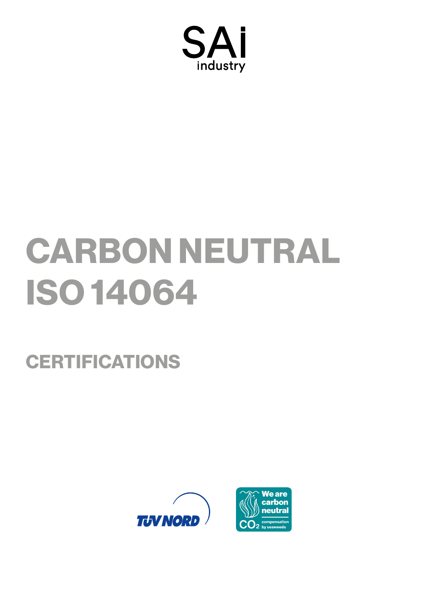

# CARBON NEUTRAL ISO 14064

# **CERTIFICATIONS**



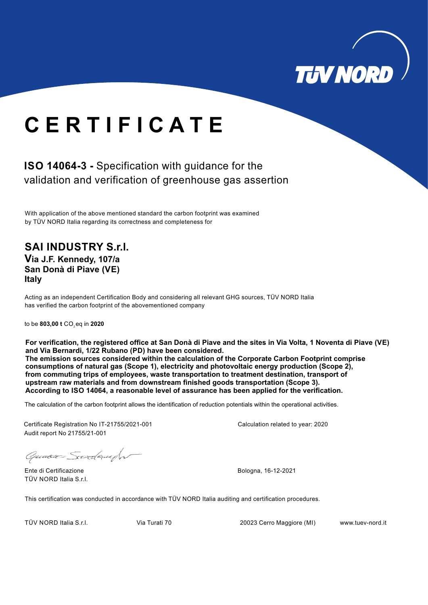

# **C E R T I F I C A T E**

## **ISO 14064-3 -** Specification with guidance for the validation and verification of greenhouse gas assertion

With application of the above mentioned standard the carbon footprint was examined by TÜV NORD Italia regarding its correctness and completeness for

### **SAI INDUSTRY S.r.l. Via J.F. Kennedy, 107/a San Donà di Piave (VE) Italy**

Acting as an independent Certification Body and considering all relevant GHG sources, TÜV NORD Italia has verified the carbon footprint of the abovementioned company

to be 803,00 t CO<sub>2</sub>eq in 2020

**For verification, the registered office at San Donà di Piave and the sites in Via Volta, 1 Noventa di Piave (VE) and Via Bernardi, 1/22 Rubano (PD) have been considered. The emission sources considered within the calculation of the Corporate Carbon Footprint comprise consumptions of natural gas (Scope 1), electricity and photovoltaic energy production (Scope 2), from commuting trips of employees, waste transportation to treatment destination, transport of upstream raw materials and from downstream finished goods transportation (Scope 3). According to ISO 14064, a reasonable level of assurance has been applied for the verification.**

The calculation of the carbon footprint allows the identification of reduction potentials within the operational activities.

Certificate Registration No IT-21755/2021-001 Audit report No 21755/21-001

Greence Sordaught

Ente di Certificazione Bologna, 16-12-2021 TÜV NORD Italia S.r.l.

Calculation related to year: 2020

This certification was conducted in accordance with TÜV NORD Italia auditing and certification procedures.

TÜV NORD Italia S.r.l. Via Turati 70 20023 Cerro Maggiore (MI) www.tuev-nord.it